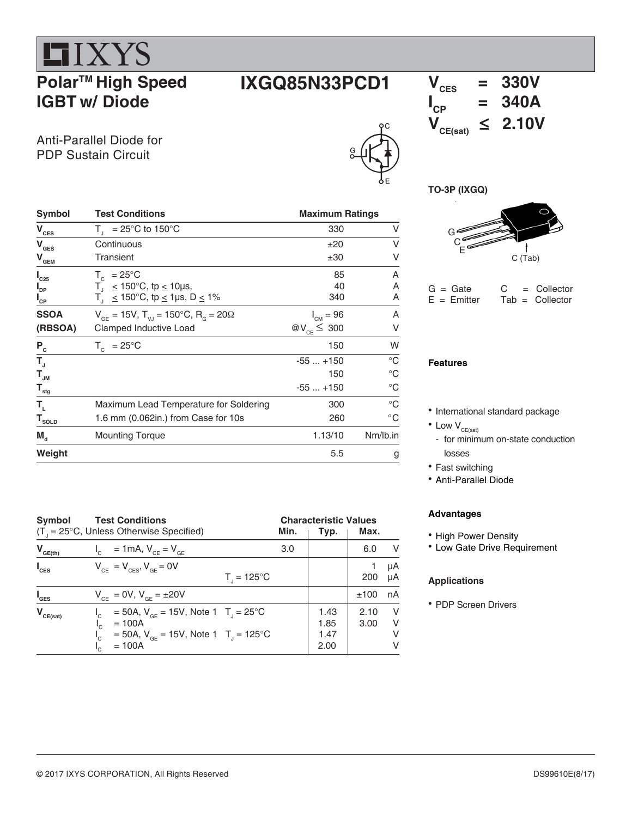# **LIXYS Polar<sup>™</sup> High Speed IGBT w/ Diode**

### Anti-Parallel Diode for PDP Sustain Circuit

# $V_{\text{CES}} = 330V$



# **I**  $V_{CP}$  = 340A<br> $V_{CE(sat)} \le 2.10V$  $\leq$  2.10V





| $G =$ Gate    | C | $=$ Collector      |
|---------------|---|--------------------|
| $E = Emitter$ |   | $Tab = Collectron$ |

#### **Features**

- International standard package
- $\bullet$  Low  $V_{CE(sat)}$
- for minimum on-state conduction losses
- Fast switching
- Anti-Parallel Diode

#### **Advantages**

- High Power Density
- Low Gate Drive Requirement

#### **Applications**

• PDP Screen Drivers

| Symbol                      | <b>Test Conditions</b>                                                              | <b>Maximum Ratings</b> |              |  |
|-----------------------------|-------------------------------------------------------------------------------------|------------------------|--------------|--|
| $V_{\text{CES}}$            | $T_{\text{I}}$ = 25°C to 150°C                                                      | 330                    | V            |  |
| $V_{\text{GES}}$            | Continuous                                                                          | ±20                    | V            |  |
| $\mathbf{V}_{\mathbf{GEM}}$ | Transient                                                                           | ±30                    | V            |  |
| $I_{C25}$                   | $T_c$ = 25°C                                                                        | 85                     | Α            |  |
| $I_{\text{DP}}$             | $T_1 \le 150^{\circ}$ C, tp $\le 10$ µs,                                            | 40                     | A            |  |
| $I_{\rm CP}$                | $T_1 \le 150^{\circ}$ C, tp $\le 1$ µs, D $\le 1\%$                                 | 340                    | Α            |  |
| <b>SSOA</b>                 | $V_{\text{GF}} = 15V$ , $T_{\text{V,I}} = 150^{\circ}$ C, $R_{\text{G}} = 20\Omega$ | $I_{CM} = 96$          | Α            |  |
| (RBSOA)                     | Clamped Inductive Load                                                              | @ $V_{CE} \leq 300$    | V            |  |
| $P_c$                       | $T_c = 25^{\circ}C$                                                                 | 150                    | W            |  |
| $T_{\rm J}$                 |                                                                                     | $-55+150$              | $^{\circ}C$  |  |
| $T_{_{\text{JM}}}$          |                                                                                     | 150                    | $^{\circ}C$  |  |
| $\mathsf{T}_{\mathsf{stg}}$ |                                                                                     | $-55+150$              | $^{\circ}C$  |  |
| Т,                          | Maximum Lead Temperature for Soldering                                              | 300                    | $^{\circ}C$  |  |
| $T_{\text{sOLD}}$           | 1.6 mm (0.062in.) from Case for 10s                                                 | 260                    | $^{\circ}$ C |  |
| $M_{d}$                     | <b>Mounting Torque</b>                                                              | 1.13/10                | Nm/lb.in     |  |
| Weight                      |                                                                                     | 5.5                    | g            |  |

| Symbol<br><b>Test Conditions</b><br>$(T_{\text{I}} = 25^{\circ}C$ , Unless Otherwise Specified)<br>Min. |                                                                                                                                                  |     | <b>Characteristic Values</b><br>Max.<br>Typ. |              |                      |  |
|---------------------------------------------------------------------------------------------------------|--------------------------------------------------------------------------------------------------------------------------------------------------|-----|----------------------------------------------|--------------|----------------------|--|
|                                                                                                         |                                                                                                                                                  |     |                                              |              |                      |  |
| $V_{GE(th)}$                                                                                            | $I_c = 1 \text{ mA}, V_{CE} = V_{GE}$                                                                                                            | 3.0 |                                              | 6.0          | - V                  |  |
| $I_{\text{CES}}$                                                                                        | $V_{CF} = V_{CFS}$ , $V_{GF} = 0V$<br>$T_{1} = 125^{\circ}C$                                                                                     |     |                                              | 200          | μA<br>μA             |  |
| $I_{\texttt{GES}}$                                                                                      | $V_{CF} = 0V$ , $V_{GF} = \pm 20V$                                                                                                               |     |                                              | ±100         | nA                   |  |
| $V_{CE(sat)}$                                                                                           | = 50A, $V_{GF}$ = 15V, Note 1 T <sub>1</sub> = 25 <sup>o</sup> C<br>$= 100A$<br>= 50A, $V_{CF}$ = 15V, Note 1 T <sub>1</sub> = 125°C<br>$= 100A$ |     | 1.43<br>1.85<br>1.47<br>2.00                 | 2.10<br>3.00 | - V<br>- V<br>V<br>V |  |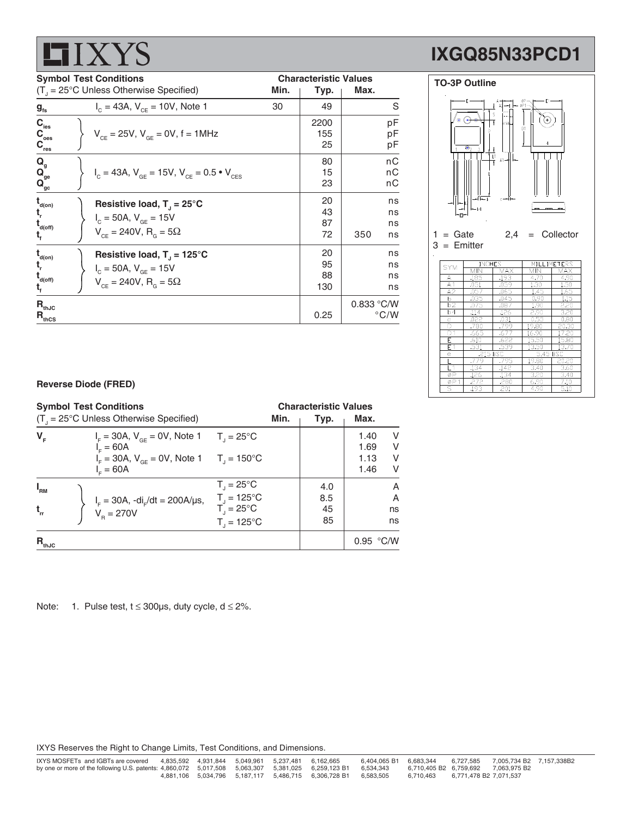| <b>Symbol Test Conditions</b>           |                                                                                           |      | <b>Characteristic Values</b> |      |    |  |
|-----------------------------------------|-------------------------------------------------------------------------------------------|------|------------------------------|------|----|--|
|                                         | $(T1 = 25^{\circ}C$ Unless Otherwise Specified)                                           | Min. | Typ.                         | Max. |    |  |
| $g_{\rm fs}$                            | $I_c = 43A$ , $V_{cF} = 10V$ , Note 1                                                     | 30   | 49                           |      | S  |  |
| $C_{\rm ies}$                           |                                                                                           |      | 2200                         |      | pF |  |
| $C_{\text{oes}}$                        | $V_{CF} = 25V$ , $V_{GF} = 0V$ , $f = 1MHz$                                               |      | 155                          |      | pF |  |
| $\mathbf{C}_{\text{res}}$               |                                                                                           |      | 25                           |      | рF |  |
| $Q_{\rm g}$                             |                                                                                           |      | 80                           |      | nC |  |
| $\mathbf{Q}_{\mathrm{ge}}$              | $V_{\text{c}} = 43A$ , $V_{\text{GE}} = 15V$ , $V_{\text{CE}} = 0.5 \cdot V_{\text{CES}}$ |      | 15                           |      | nС |  |
| $\mathbf{Q}_{\underline{\mathrm{gc}}}$  |                                                                                           |      | 23                           |      | nС |  |
| $\mathbf{t}_{\mathsf{d}(\mathsf{on})}$  | Resistive load, $T_1 = 25^{\circ}C$                                                       |      | 20                           |      | ns |  |
| t,                                      | $I_c = 50A, V_{GF} = 15V$                                                                 |      | 43                           |      | ns |  |
| $\mathbf{t}_{\mathsf{d}(\mathsf{off})}$ |                                                                                           |      | 87                           |      | ns |  |
|                                         | $V_{ce} = 240V, R_{g} = 5\Omega$                                                          |      | 72                           | 350  | ns |  |
| $\mathbf{t}_{\mathsf{d}(\mathsf{on})}$  | Resistive load, $T_1 = 125^{\circ}C$                                                      |      | 20                           |      | ns |  |
|                                         | $I_c = 50A, V_{GF} = 15V$                                                                 |      | 95                           |      | ns |  |
| $\mathbf{t}_{\text{\tiny d(off)}}$      | $V_{CF} = 240V$ , $R_{G} = 5\Omega$                                                       |      | 88                           |      | ns |  |
|                                         |                                                                                           |      | 130                          |      | ns |  |





#### **Reverse Diode (FRED)**

| <b>Symbol Test Conditions</b><br>$(T1 = 25^{\circ}C$ Unless Otherwise Specified) |  |                                                                                                                                                                                        | <b>Characteristic Values</b><br>Max.<br>Min.<br>Typ.                                                         |  |                        |                              |                                 |
|----------------------------------------------------------------------------------|--|----------------------------------------------------------------------------------------------------------------------------------------------------------------------------------------|--------------------------------------------------------------------------------------------------------------|--|------------------------|------------------------------|---------------------------------|
| $V_F$                                                                            |  | $I_{\rm F}$ = 30A, $V_{\rm GF}$ = 0V, Note 1 T <sub>1</sub> = 25 <sup>o</sup> C<br>$I = 60A$<br>$I_{\rm E} = 30$ A, V <sub>or</sub> = 0V, Note 1 T <sub>J</sub> = 150°C<br>$I_c = 60A$ |                                                                                                              |  |                        | 1.40<br>1.69<br>1.13<br>1.46 | V<br>V<br>V<br>v                |
| $I_{\rm RM}$<br>$t_{rr}$                                                         |  | $I_F = 30A$ , $-dI_F/dt = 200A/\mu s$ ,<br>$V_B = 270V$                                                                                                                                | $T_{\parallel} = 25^{\circ}C$<br>$T_{\rm J} = 125^{\circ}C$<br>$T_i = 25^{\circ}C$<br>$T_{1} = 125^{\circ}C$ |  | 4.0<br>8.5<br>45<br>85 |                              | A<br>$\overline{A}$<br>ns<br>ns |
| $R_{thJC}$                                                                       |  |                                                                                                                                                                                        |                                                                                                              |  |                        | 0.95 °C/W                    |                                 |

 $R_{th,IC}$  0.833 °C/W  $R_{\text{thcs}}$  0.25  $\degree$  C/W

Note: 1. Pulse test,  $t \le 300 \mu s$ , duty cycle,  $d \le 2\%$ .

IXYS Reserves the Right to Change Limits, Test Conditions, and Dimensions.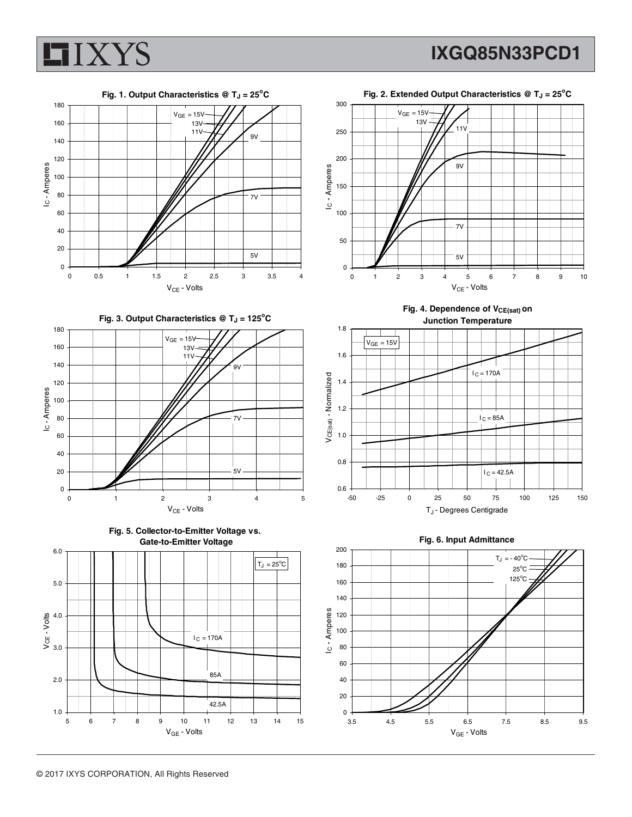



Fig. 4. Dependence of V<sub>CE(sat)</sub> on

 $V_{CE}$  - Volts

9V

7V

5V



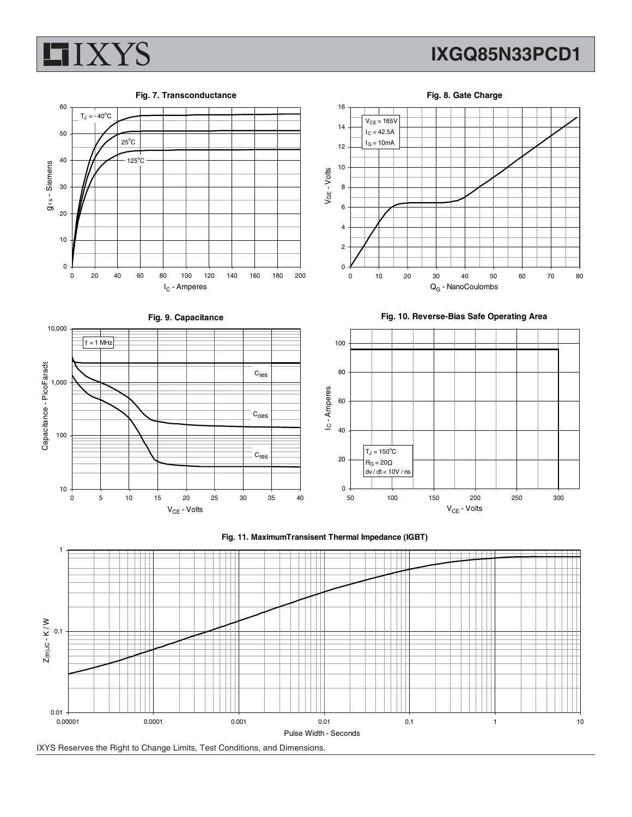

 $T_J = -40^{\circ}C$ 

 $25^{\circ}$ C  $125^{\circ}$ C

0

10

20

30

g f s - Siemens

g<sub>ts</sub> - Siemens

40

50

60

### **IXGQ85N33PCD1**

**Fig. 7. Transconductance**



**Fig. 9. Capacitance**

I<sub>C</sub> - Amperes



**Fig. 10. Reverse-Bias Safe Operating Area**





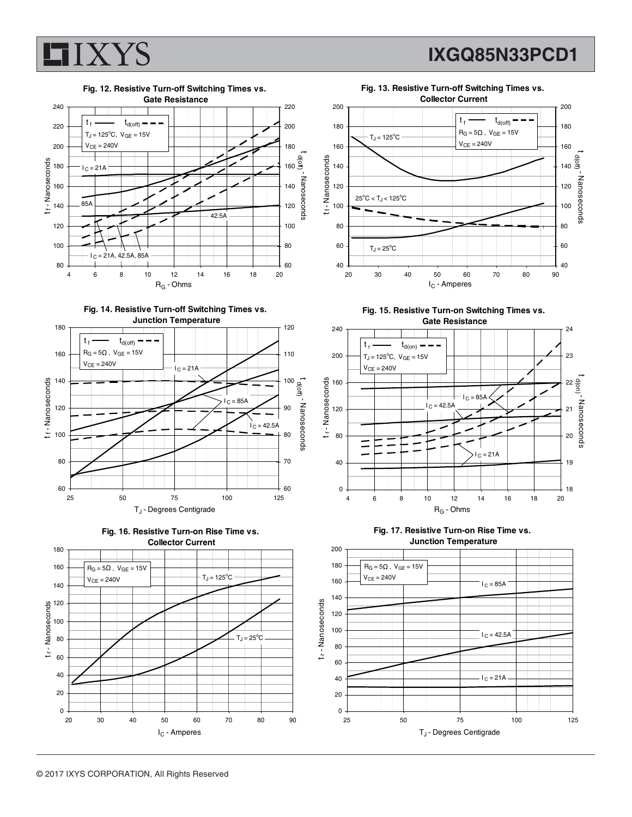

## **IXGQ85N33PCD1**













**Fig. 15. Resistive Turn-on Switching Times vs. Gate Resistance**